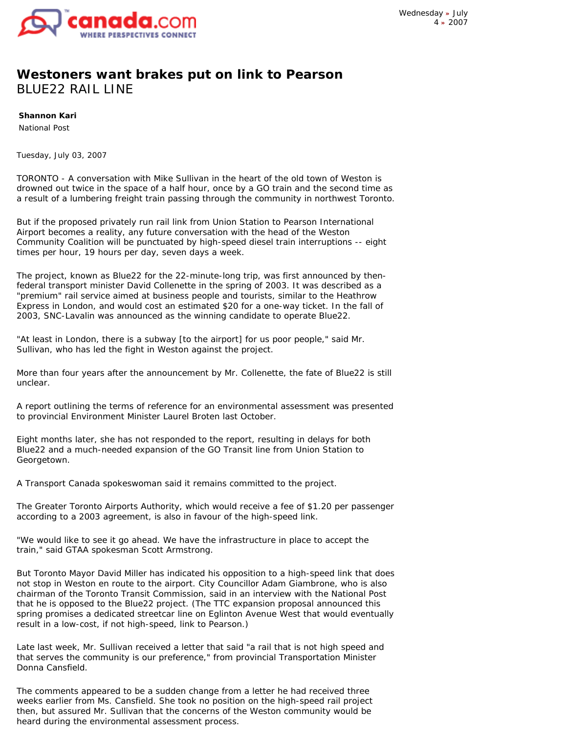

## **Westoners want brakes put on link to Pearson** BLUE22 RAIL LINE

**Shannon Kari**

National Post

*Tuesday, July 03, 2007* 

TORONTO - A conversation with Mike Sullivan in the heart of the old town of Weston is drowned out twice in the space of a half hour, once by a GO train and the second time as a result of a lumbering freight train passing through the community in northwest Toronto.

But if the proposed privately run rail link from Union Station to Pearson International Airport becomes a reality, any future conversation with the head of the Weston Community Coalition will be punctuated by high-speed diesel train interruptions -- eight times per hour, 19 hours per day, seven days a week.

The project, known as Blue22 for the 22-minute-long trip, was first announced by thenfederal transport minister David Collenette in the spring of 2003. It was described as a "premium" rail service aimed at business people and tourists, similar to the Heathrow Express in London, and would cost an estimated \$20 for a one-way ticket. In the fall of 2003, SNC-Lavalin was announced as the winning candidate to operate Blue22.

"At least in London, there is a subway [to the airport] for us poor people," said Mr. Sullivan, who has led the fight in Weston against the project.

More than four years after the announcement by Mr. Collenette, the fate of Blue22 is still unclear.

A report outlining the terms of reference for an environmental assessment was presented to provincial Environment Minister Laurel Broten last October.

Eight months later, she has not responded to the report, resulting in delays for both Blue22 and a much-needed expansion of the GO Transit line from Union Station to Georgetown.

A Transport Canada spokeswoman said it remains committed to the project.

The Greater Toronto Airports Authority, which would receive a fee of \$1.20 per passenger according to a 2003 agreement, is also in favour of the high-speed link.

"We would like to see it go ahead. We have the infrastructure in place to accept the train," said GTAA spokesman Scott Armstrong.

But Toronto Mayor David Miller has indicated his opposition to a high-speed link that does not stop in Weston en route to the airport. City Councillor Adam Giambrone, who is also chairman of the Toronto Transit Commission, said in an interview with the National Post that he is opposed to the Blue22 project. (The TTC expansion proposal announced this spring promises a dedicated streetcar line on Eglinton Avenue West that would eventually result in a low-cost, if not high-speed, link to Pearson.)

Late last week, Mr. Sullivan received a letter that said "a rail that is not high speed and that serves the community is our preference," from provincial Transportation Minister Donna Cansfield.

The comments appeared to be a sudden change from a letter he had received three weeks earlier from Ms. Cansfield. She took no position on the high-speed rail project then, but assured Mr. Sullivan that the concerns of the Weston community would be heard during the environmental assessment process.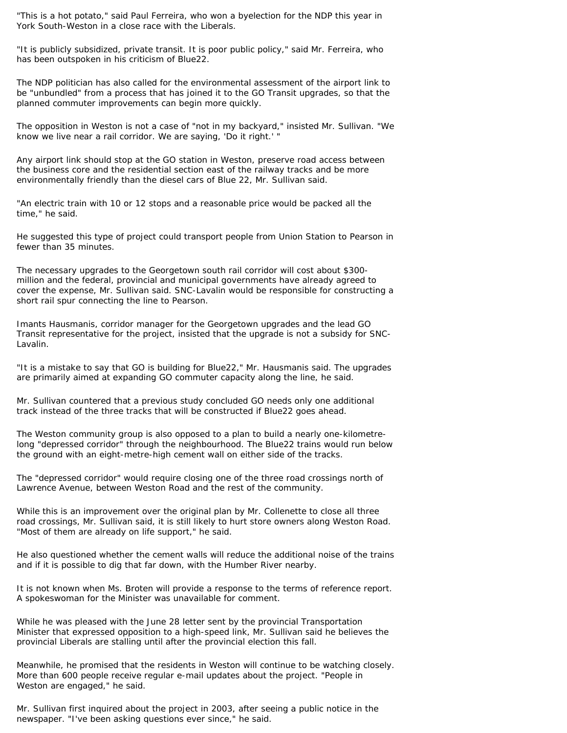"This is a hot potato," said Paul Ferreira, who won a byelection for the NDP this year in York South-Weston in a close race with the Liberals.

"It is publicly subsidized, private transit. It is poor public policy," said Mr. Ferreira, who has been outspoken in his criticism of Blue22.

The NDP politician has also called for the environmental assessment of the airport link to be "unbundled" from a process that has joined it to the GO Transit upgrades, so that the planned commuter improvements can begin more quickly.

The opposition in Weston is not a case of "not in my backyard," insisted Mr. Sullivan. "We know we live near a rail corridor. We are saying, 'Do it right.' "

Any airport link should stop at the GO station in Weston, preserve road access between the business core and the residential section east of the railway tracks and be more environmentally friendly than the diesel cars of Blue 22, Mr. Sullivan said.

"An electric train with 10 or 12 stops and a reasonable price would be packed all the time," he said.

He suggested this type of project could transport people from Union Station to Pearson in fewer than 35 minutes.

The necessary upgrades to the Georgetown south rail corridor will cost about \$300 million and the federal, provincial and municipal governments have already agreed to cover the expense, Mr. Sullivan said. SNC-Lavalin would be responsible for constructing a short rail spur connecting the line to Pearson.

Imants Hausmanis, corridor manager for the Georgetown upgrades and the lead GO Transit representative for the project, insisted that the upgrade is not a subsidy for SNC-Lavalin.

"It is a mistake to say that GO is building for Blue22," Mr. Hausmanis said. The upgrades are primarily aimed at expanding GO commuter capacity along the line, he said.

Mr. Sullivan countered that a previous study concluded GO needs only one additional track instead of the three tracks that will be constructed if Blue22 goes ahead.

The Weston community group is also opposed to a plan to build a nearly one-kilometrelong "depressed corridor" through the neighbourhood. The Blue22 trains would run below the ground with an eight-metre-high cement wall on either side of the tracks.

The "depressed corridor" would require closing one of the three road crossings north of Lawrence Avenue, between Weston Road and the rest of the community.

While this is an improvement over the original plan by Mr. Collenette to close all three road crossings, Mr. Sullivan said, it is still likely to hurt store owners along Weston Road. "Most of them are already on life support," he said.

He also questioned whether the cement walls will reduce the additional noise of the trains and if it is possible to dig that far down, with the Humber River nearby.

It is not known when Ms. Broten will provide a response to the terms of reference report. A spokeswoman for the Minister was unavailable for comment.

While he was pleased with the June 28 letter sent by the provincial Transportation Minister that expressed opposition to a high-speed link, Mr. Sullivan said he believes the provincial Liberals are stalling until after the provincial election this fall.

Meanwhile, he promised that the residents in Weston will continue to be watching closely. More than 600 people receive regular e-mail updates about the project. "People in Weston are engaged," he said.

Mr. Sullivan first inquired about the project in 2003, after seeing a public notice in the newspaper. "I've been asking questions ever since," he said.